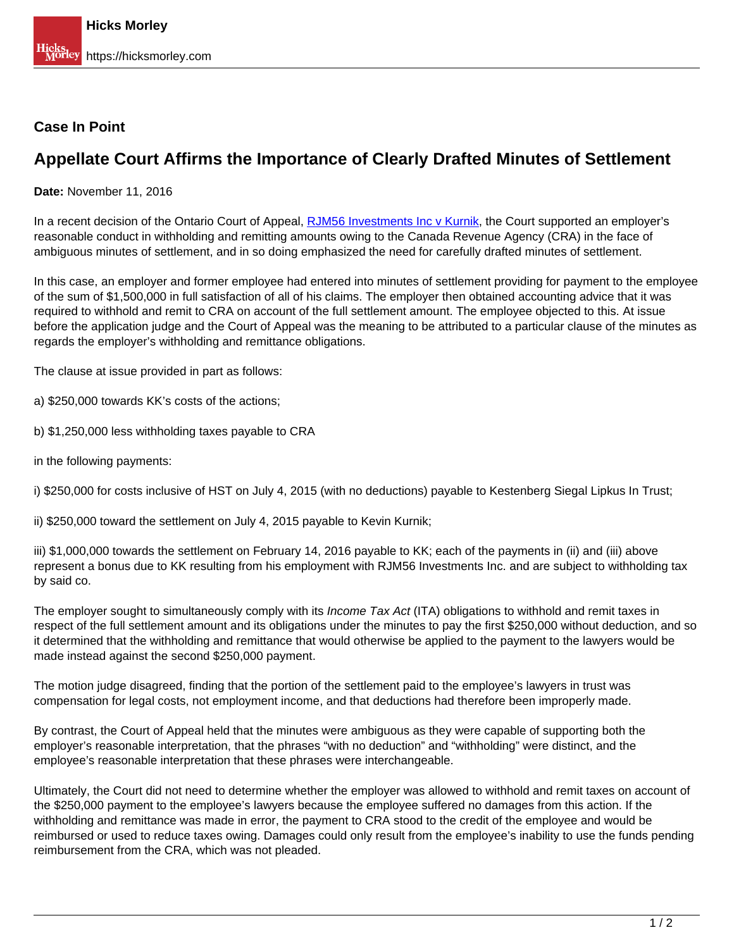## **Case In Point**

## **Appellate Court Affirms the Importance of Clearly Drafted Minutes of Settlement**

**Date:** November 11, 2016

In a recent decision of the Ontario Court of Appeal, **RJM56** Investments Inc v Kurnik, the Court supported an employer's reasonable conduct in withholding and remitting amounts owing to the Canada Revenue Agency (CRA) in the face of ambiguous minutes of settlement, and in so doing emphasized the need for carefully drafted minutes of settlement.

In this case, an employer and former employee had entered into minutes of settlement providing for payment to the employee of the sum of \$1,500,000 in full satisfaction of all of his claims. The employer then obtained accounting advice that it was required to withhold and remit to CRA on account of the full settlement amount. The employee objected to this. At issue before the application judge and the Court of Appeal was the meaning to be attributed to a particular clause of the minutes as regards the employer's withholding and remittance obligations.

The clause at issue provided in part as follows:

- a) \$250,000 towards KK's costs of the actions;
- b) \$1,250,000 less withholding taxes payable to CRA
- in the following payments:

i) \$250,000 for costs inclusive of HST on July 4, 2015 (with no deductions) payable to Kestenberg Siegal Lipkus In Trust;

ii) \$250,000 toward the settlement on July 4, 2015 payable to Kevin Kurnik;

iii) \$1,000,000 towards the settlement on February 14, 2016 payable to KK; each of the payments in (ii) and (iii) above represent a bonus due to KK resulting from his employment with RJM56 Investments Inc. and are subject to withholding tax by said co.

The employer sought to simultaneously comply with its *Income Tax Act* (ITA) obligations to withhold and remit taxes in respect of the full settlement amount and its obligations under the minutes to pay the first \$250,000 without deduction, and so it determined that the withholding and remittance that would otherwise be applied to the payment to the lawyers would be made instead against the second \$250,000 payment.

The motion judge disagreed, finding that the portion of the settlement paid to the employee's lawyers in trust was compensation for legal costs, not employment income, and that deductions had therefore been improperly made.

By contrast, the Court of Appeal held that the minutes were ambiguous as they were capable of supporting both the employer's reasonable interpretation, that the phrases "with no deduction" and "withholding" were distinct, and the employee's reasonable interpretation that these phrases were interchangeable.

Ultimately, the Court did not need to determine whether the employer was allowed to withhold and remit taxes on account of the \$250,000 payment to the employee's lawyers because the employee suffered no damages from this action. If the withholding and remittance was made in error, the payment to CRA stood to the credit of the employee and would be reimbursed or used to reduce taxes owing. Damages could only result from the employee's inability to use the funds pending reimbursement from the CRA, which was not pleaded.